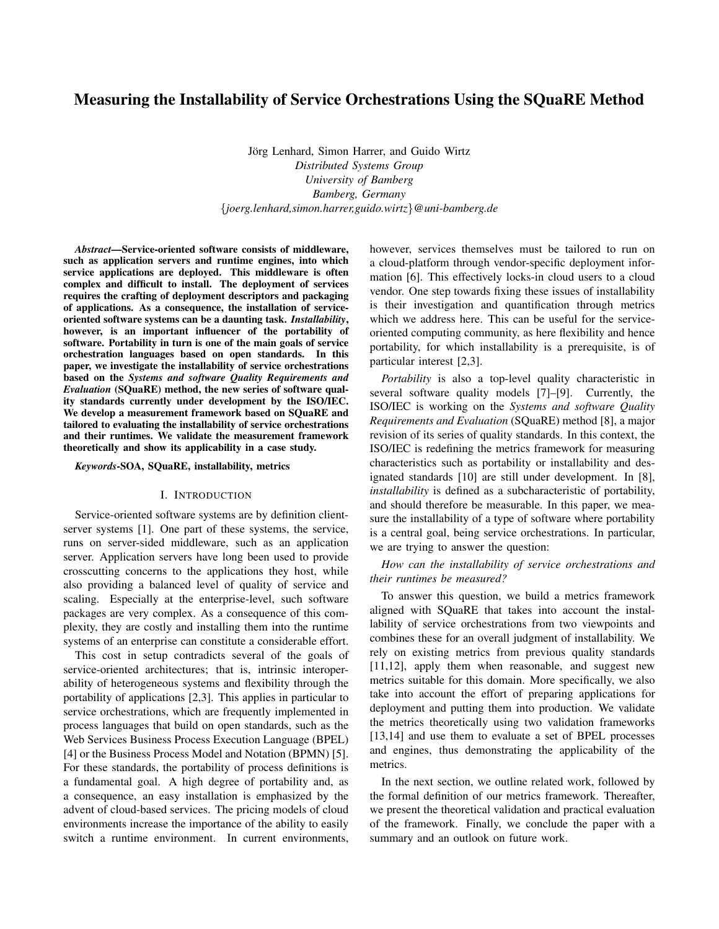# Measuring the Installability of Service Orchestrations Using the SQuaRE Method

Jörg Lenhard, Simon Harrer, and Guido Wirtz *Distributed Systems Group University of Bamberg Bamberg, Germany* {*joerg.lenhard,simon.harrer,guido.wirtz*}*@uni-bamberg.de*

*Abstract*—Service-oriented software consists of middleware, such as application servers and runtime engines, into which service applications are deployed. This middleware is often complex and difficult to install. The deployment of services requires the crafting of deployment descriptors and packaging of applications. As a consequence, the installation of serviceoriented software systems can be a daunting task. *Installability*, however, is an important influencer of the portability of software. Portability in turn is one of the main goals of service orchestration languages based on open standards. In this paper, we investigate the installability of service orchestrations based on the *Systems and software Quality Requirements and Evaluation* (SQuaRE) method, the new series of software quality standards currently under development by the ISO/IEC. We develop a measurement framework based on SQuaRE and tailored to evaluating the installability of service orchestrations and their runtimes. We validate the measurement framework theoretically and show its applicability in a case study.

#### *Keywords*-SOA, SQuaRE, installability, metrics

### I. INTRODUCTION

Service-oriented software systems are by definition clientserver systems [1]. One part of these systems, the service, runs on server-sided middleware, such as an application server. Application servers have long been used to provide crosscutting concerns to the applications they host, while also providing a balanced level of quality of service and scaling. Especially at the enterprise-level, such software packages are very complex. As a consequence of this complexity, they are costly and installing them into the runtime systems of an enterprise can constitute a considerable effort.

This cost in setup contradicts several of the goals of service-oriented architectures; that is, intrinsic interoperability of heterogeneous systems and flexibility through the portability of applications [2,3]. This applies in particular to service orchestrations, which are frequently implemented in process languages that build on open standards, such as the Web Services Business Process Execution Language (BPEL) [4] or the Business Process Model and Notation (BPMN) [5]. For these standards, the portability of process definitions is a fundamental goal. A high degree of portability and, as a consequence, an easy installation is emphasized by the advent of cloud-based services. The pricing models of cloud environments increase the importance of the ability to easily switch a runtime environment. In current environments, however, services themselves must be tailored to run on a cloud-platform through vendor-specific deployment information [6]. This effectively locks-in cloud users to a cloud vendor. One step towards fixing these issues of installability is their investigation and quantification through metrics which we address here. This can be useful for the serviceoriented computing community, as here flexibility and hence portability, for which installability is a prerequisite, is of particular interest [2,3].

*Portability* is also a top-level quality characteristic in several software quality models [7]–[9]. Currently, the ISO/IEC is working on the *Systems and software Quality Requirements and Evaluation* (SQuaRE) method [8], a major revision of its series of quality standards. In this context, the ISO/IEC is redefining the metrics framework for measuring characteristics such as portability or installability and designated standards [10] are still under development. In [8], *installability* is defined as a subcharacteristic of portability, and should therefore be measurable. In this paper, we measure the installability of a type of software where portability is a central goal, being service orchestrations. In particular, we are trying to answer the question:

*How can the installability of service orchestrations and their runtimes be measured?*

To answer this question, we build a metrics framework aligned with SQuaRE that takes into account the installability of service orchestrations from two viewpoints and combines these for an overall judgment of installability. We rely on existing metrics from previous quality standards [11,12], apply them when reasonable, and suggest new metrics suitable for this domain. More specifically, we also take into account the effort of preparing applications for deployment and putting them into production. We validate the metrics theoretically using two validation frameworks [13,14] and use them to evaluate a set of BPEL processes and engines, thus demonstrating the applicability of the metrics.

In the next section, we outline related work, followed by the formal definition of our metrics framework. Thereafter, we present the theoretical validation and practical evaluation of the framework. Finally, we conclude the paper with a summary and an outlook on future work.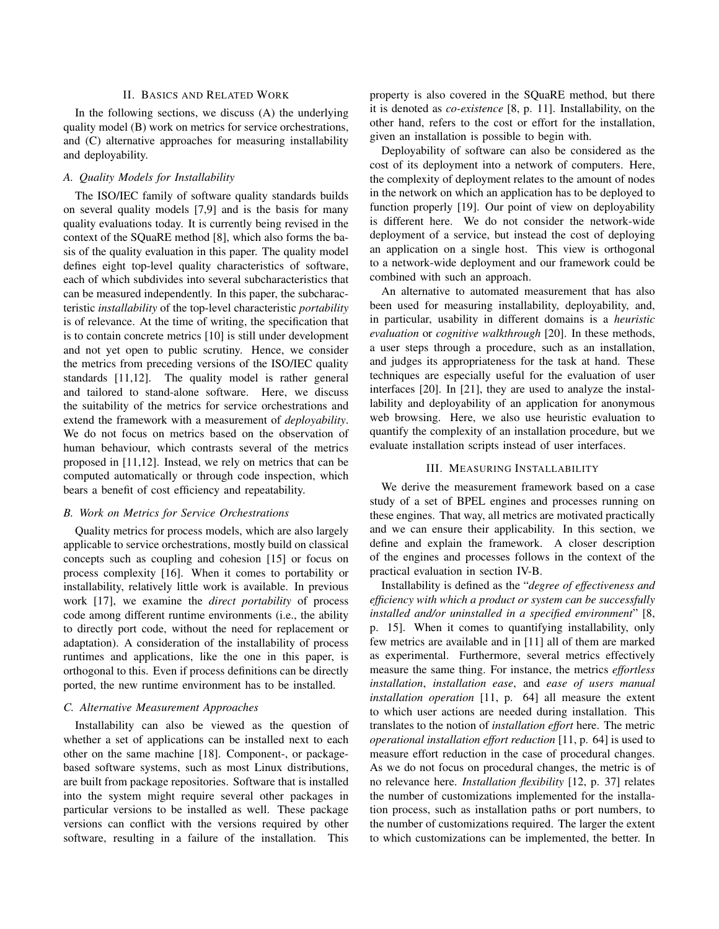## II. BASICS AND RELATED WORK

In the following sections, we discuss (A) the underlying quality model (B) work on metrics for service orchestrations, and (C) alternative approaches for measuring installability and deployability.

# *A. Quality Models for Installability*

The ISO/IEC family of software quality standards builds on several quality models [7,9] and is the basis for many quality evaluations today. It is currently being revised in the context of the SQuaRE method [8], which also forms the basis of the quality evaluation in this paper. The quality model defines eight top-level quality characteristics of software, each of which subdivides into several subcharacteristics that can be measured independently. In this paper, the subcharacteristic *installability* of the top-level characteristic *portability* is of relevance. At the time of writing, the specification that is to contain concrete metrics [10] is still under development and not yet open to public scrutiny. Hence, we consider the metrics from preceding versions of the ISO/IEC quality standards [11,12]. The quality model is rather general and tailored to stand-alone software. Here, we discuss the suitability of the metrics for service orchestrations and extend the framework with a measurement of *deployability*. We do not focus on metrics based on the observation of human behaviour, which contrasts several of the metrics proposed in [11,12]. Instead, we rely on metrics that can be computed automatically or through code inspection, which bears a benefit of cost efficiency and repeatability.

#### *B. Work on Metrics for Service Orchestrations*

Quality metrics for process models, which are also largely applicable to service orchestrations, mostly build on classical concepts such as coupling and cohesion [15] or focus on process complexity [16]. When it comes to portability or installability, relatively little work is available. In previous work [17], we examine the *direct portability* of process code among different runtime environments (i.e., the ability to directly port code, without the need for replacement or adaptation). A consideration of the installability of process runtimes and applications, like the one in this paper, is orthogonal to this. Even if process definitions can be directly ported, the new runtime environment has to be installed.

## *C. Alternative Measurement Approaches*

Installability can also be viewed as the question of whether a set of applications can be installed next to each other on the same machine [18]. Component-, or packagebased software systems, such as most Linux distributions, are built from package repositories. Software that is installed into the system might require several other packages in particular versions to be installed as well. These package versions can conflict with the versions required by other software, resulting in a failure of the installation. This property is also covered in the SQuaRE method, but there it is denoted as *co-existence* [8, p. 11]. Installability, on the other hand, refers to the cost or effort for the installation, given an installation is possible to begin with.

Deployability of software can also be considered as the cost of its deployment into a network of computers. Here, the complexity of deployment relates to the amount of nodes in the network on which an application has to be deployed to function properly [19]. Our point of view on deployability is different here. We do not consider the network-wide deployment of a service, but instead the cost of deploying an application on a single host. This view is orthogonal to a network-wide deployment and our framework could be combined with such an approach.

An alternative to automated measurement that has also been used for measuring installability, deployability, and, in particular, usability in different domains is a *heuristic evaluation* or *cognitive walkthrough* [20]. In these methods, a user steps through a procedure, such as an installation, and judges its appropriateness for the task at hand. These techniques are especially useful for the evaluation of user interfaces [20]. In [21], they are used to analyze the installability and deployability of an application for anonymous web browsing. Here, we also use heuristic evaluation to quantify the complexity of an installation procedure, but we evaluate installation scripts instead of user interfaces.

## III. MEASURING INSTALLABILITY

We derive the measurement framework based on a case study of a set of BPEL engines and processes running on these engines. That way, all metrics are motivated practically and we can ensure their applicability. In this section, we define and explain the framework. A closer description of the engines and processes follows in the context of the practical evaluation in section IV-B.

Installability is defined as the "*degree of effectiveness and efficiency with which a product or system can be successfully installed and/or uninstalled in a specified environment*" [8, p. 15]. When it comes to quantifying installability, only few metrics are available and in [11] all of them are marked as experimental. Furthermore, several metrics effectively measure the same thing. For instance, the metrics *effortless installation*, *installation ease*, and *ease of users manual installation operation* [11, p. 64] all measure the extent to which user actions are needed during installation. This translates to the notion of *installation effort* here. The metric *operational installation effort reduction* [11, p. 64] is used to measure effort reduction in the case of procedural changes. As we do not focus on procedural changes, the metric is of no relevance here. *Installation flexibility* [12, p. 37] relates the number of customizations implemented for the installation process, such as installation paths or port numbers, to the number of customizations required. The larger the extent to which customizations can be implemented, the better. In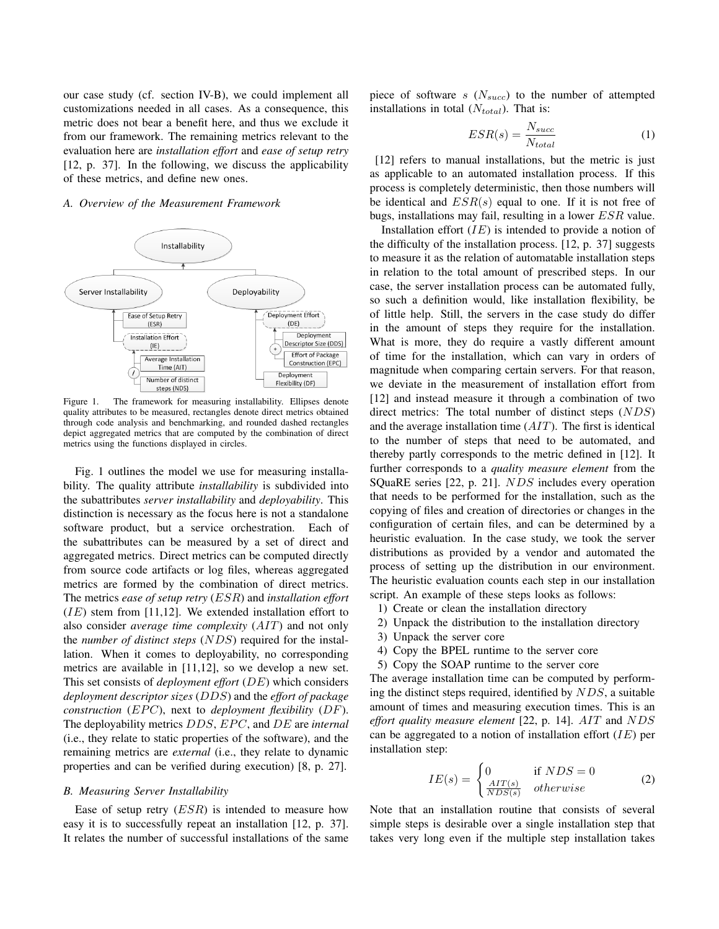our case study (cf. section IV-B), we could implement all customizations needed in all cases. As a consequence, this metric does not bear a benefit here, and thus we exclude it from our framework. The remaining metrics relevant to the evaluation here are *installation effort* and *ease of setup retry* [12, p. 37]. In the following, we discuss the applicability of these metrics, and define new ones.

### *A. Overview of the Measurement Framework*



Figure 1. The framework for measuring installability. Ellipses denote quality attributes to be measured, rectangles denote direct metrics obtained through code analysis and benchmarking, and rounded dashed rectangles depict aggregated metrics that are computed by the combination of direct metrics using the functions displayed in circles.

Fig. 1 outlines the model we use for measuring installability. The quality attribute *installability* is subdivided into the subattributes *server installability* and *deployability*. This distinction is necessary as the focus here is not a standalone software product, but a service orchestration. Each of the subattributes can be measured by a set of direct and aggregated metrics. Direct metrics can be computed directly from source code artifacts or log files, whereas aggregated metrics are formed by the combination of direct metrics. The metrics *ease of setup retry* (ESR) and *installation effort*  $(IE)$  stem from [11,12]. We extended installation effort to also consider *average time complexity* (AIT) and not only the *number of distinct steps* (NDS) required for the installation. When it comes to deployability, no corresponding metrics are available in [11,12], so we develop a new set. This set consists of *deployment effort* (DE) which considers *deployment descriptor sizes* (DDS) and the *effort of package construction* (*EPC*), next to *deployment flexibility* (*DF*). The deployability metrics DDS, EPC, and DE are *internal* (i.e., they relate to static properties of the software), and the remaining metrics are *external* (i.e., they relate to dynamic properties and can be verified during execution) [8, p. 27].

#### *B. Measuring Server Installability*

Ease of setup retry  $(ESR)$  is intended to measure how easy it is to successfully repeat an installation [12, p. 37]. It relates the number of successful installations of the same piece of software s  $(N_{succ})$  to the number of attempted installations in total  $(N_{total})$ . That is:

$$
ESR(s) = \frac{N_{succ}}{N_{total}}\tag{1}
$$

[12] refers to manual installations, but the metric is just as applicable to an automated installation process. If this process is completely deterministic, then those numbers will be identical and  $ESR(s)$  equal to one. If it is not free of bugs, installations may fail, resulting in a lower ESR value.

Installation effort  $(IE)$  is intended to provide a notion of the difficulty of the installation process. [12, p. 37] suggests to measure it as the relation of automatable installation steps in relation to the total amount of prescribed steps. In our case, the server installation process can be automated fully, so such a definition would, like installation flexibility, be of little help. Still, the servers in the case study do differ in the amount of steps they require for the installation. What is more, they do require a vastly different amount of time for the installation, which can vary in orders of magnitude when comparing certain servers. For that reason, we deviate in the measurement of installation effort from [12] and instead measure it through a combination of two direct metrics: The total number of distinct steps (NDS) and the average installation time  $(AIT)$ . The first is identical to the number of steps that need to be automated, and thereby partly corresponds to the metric defined in [12]. It further corresponds to a *quality measure element* from the SQuaRE series [22, p. 21]. NDS includes every operation that needs to be performed for the installation, such as the copying of files and creation of directories or changes in the configuration of certain files, and can be determined by a heuristic evaluation. In the case study, we took the server distributions as provided by a vendor and automated the process of setting up the distribution in our environment. The heuristic evaluation counts each step in our installation script. An example of these steps looks as follows:

- 1) Create or clean the installation directory
- 2) Unpack the distribution to the installation directory
- 3) Unpack the server core
- 4) Copy the BPEL runtime to the server core
- 5) Copy the SOAP runtime to the server core

The average installation time can be computed by performing the distinct steps required, identified by  $NDS$ , a suitable amount of times and measuring execution times. This is an *effort quality measure element* [22, p. 14]. AIT and NDS can be aggregated to a notion of installation effort  $(IE)$  per installation step:

$$
IE(s) = \begin{cases} 0 & \text{if } NDS = 0\\ \frac{AIT(s)}{NDS(s)} & otherwise \end{cases}
$$
 (2)

Note that an installation routine that consists of several simple steps is desirable over a single installation step that takes very long even if the multiple step installation takes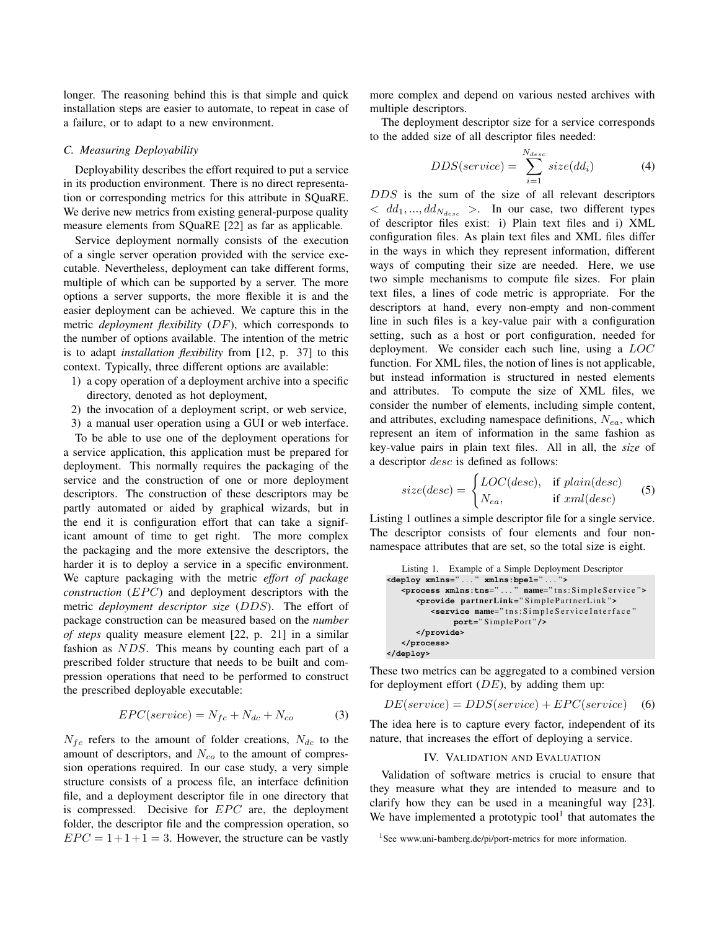longer. The reasoning behind this is that simple and quick installation steps are easier to automate, to repeat in case of a failure, or to adapt to a new environment.

#### *C. Measuring Deployability*

Deployability describes the effort required to put a service in its production environment. There is no direct representation or corresponding metrics for this attribute in SQuaRE. We derive new metrics from existing general-purpose quality measure elements from SQuaRE [22] as far as applicable.

Service deployment normally consists of the execution of a single server operation provided with the service executable. Nevertheless, deployment can take different forms, multiple of which can be supported by a server. The more options a server supports, the more flexible it is and the easier deployment can be achieved. We capture this in the metric *deployment flexibility* (DF), which corresponds to the number of options available. The intention of the metric is to adapt *installation flexibility* from [12, p. 37] to this context. Typically, three different options are available:

- 1) a copy operation of a deployment archive into a specific directory, denoted as hot deployment,
- 2) the invocation of a deployment script, or web service,
- 3) a manual user operation using a GUI or web interface.

To be able to use one of the deployment operations for a service application, this application must be prepared for deployment. This normally requires the packaging of the service and the construction of one or more deployment descriptors. The construction of these descriptors may be partly automated or aided by graphical wizards, but in the end it is configuration effort that can take a significant amount of time to get right. The more complex the packaging and the more extensive the descriptors, the harder it is to deploy a service in a specific environment. We capture packaging with the metric *effort of package construction* (*EPC*) and deployment descriptors with the metric *deployment descriptor size* (DDS). The effort of package construction can be measured based on the *number of steps* quality measure element [22, p. 21] in a similar fashion as NDS. This means by counting each part of a prescribed folder structure that needs to be built and compression operations that need to be performed to construct the prescribed deployable executable:

$$
EPC(servative) = N_{fc} + N_{dc} + N_{co}
$$
 (3)

 $N_{fc}$  refers to the amount of folder creations,  $N_{dc}$  to the amount of descriptors, and  $N_{co}$  to the amount of compression operations required. In our case study, a very simple structure consists of a process file, an interface definition file, and a deployment descriptor file in one directory that is compressed. Decisive for  $EPC$  are, the deployment folder, the descriptor file and the compression operation, so  $EPC = 1+1+1 = 3$ . However, the structure can be vastly more complex and depend on various nested archives with multiple descriptors.

The deployment descriptor size for a service corresponds to the added size of all descriptor files needed:

$$
DDS(servative) = \sum_{i=1}^{N_{desc}} size(dd_i)
$$
 (4)

DDS is the sum of the size of all relevant descriptors  $d_1, ..., dd_{N_{desc}} >$ . In our case, two different types of descriptor files exist: i) Plain text files and i) XML configuration files. As plain text files and XML files differ in the ways in which they represent information, different ways of computing their size are needed. Here, we use two simple mechanisms to compute file sizes. For plain text files, a lines of code metric is appropriate. For the descriptors at hand, every non-empty and non-comment line in such files is a key-value pair with a configuration setting, such as a host or port configuration, needed for deployment. We consider each such line, using a LOC function. For XML files, the notion of lines is not applicable, but instead information is structured in nested elements and attributes. To compute the size of XML files, we consider the number of elements, including simple content, and attributes, excluding namespace definitions,  $N_{ea}$ , which represent an item of information in the same fashion as key-value pairs in plain text files. All in all, the *size* of a descriptor desc is defined as follows:

$$
size(desc) = \begin{cases} LOC(desc), & \text{if } plain(desc) \\ N_{ea}, & \text{if } xml(desc) \end{cases} \tag{5}
$$

Listing 1 outlines a simple descriptor file for a single service. The descriptor consists of four elements and four nonnamespace attributes that are set, so the total size is eight.

Listing 1. Example of a Simple Deployment Descriptor **<deploy xmlns**=" . . . " **xmlns:bpel**=" . . . "**> <process xmlns:tns**=" . . . " name=" t n s : S i m p l e S e r v i c e "**> <provide** p ar tnerLink=" S i m p l e P a r t n e r L i n k "**> <service** name=" t n s : S i m p l e S e r v i c e I n t e r f a c e " **port**=" Si m pl e P o rt "**/> </provide> </process> </deploy>**

These two metrics can be aggregated to a combined version for deployment effort  $(DE)$ , by adding them up:

$$
DE(service) = DDS(service) + EPC(service) \quad (6)
$$

The idea here is to capture every factor, independent of its nature, that increases the effort of deploying a service.

### IV. VALIDATION AND EVALUATION

Validation of software metrics is crucial to ensure that they measure what they are intended to measure and to clarify how they can be used in a meaningful way [23]. We have implemented a prototypic tool<sup>1</sup> that automates the

<sup>&</sup>lt;sup>1</sup>See www.uni-bamberg.de/pi/port-metrics for more information.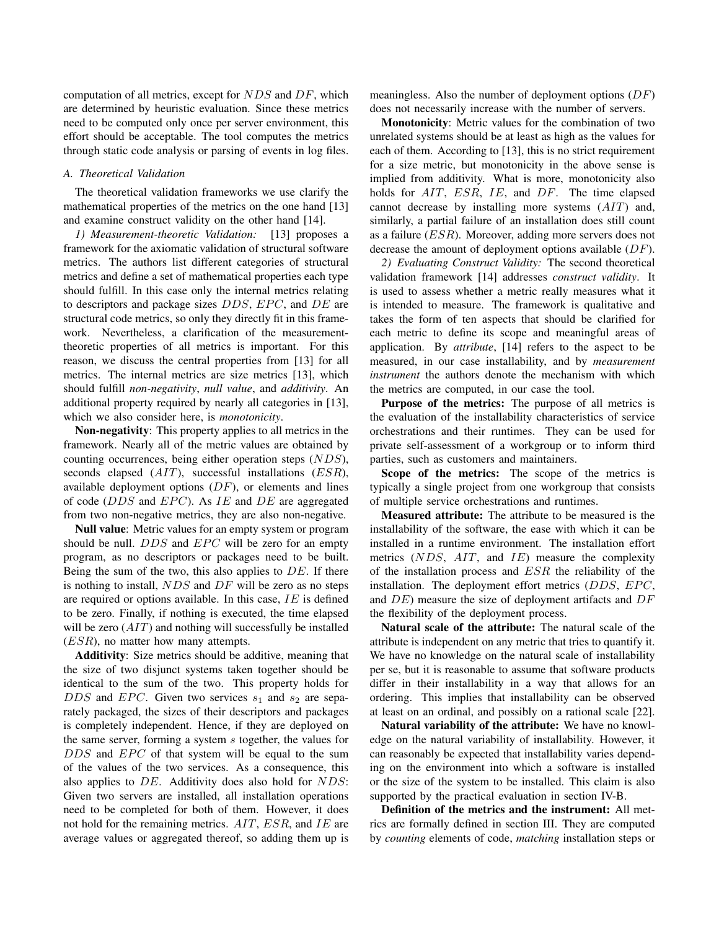computation of all metrics, except for NDS and DF, which are determined by heuristic evaluation. Since these metrics need to be computed only once per server environment, this effort should be acceptable. The tool computes the metrics through static code analysis or parsing of events in log files.

## *A. Theoretical Validation*

The theoretical validation frameworks we use clarify the mathematical properties of the metrics on the one hand [13] and examine construct validity on the other hand [14].

*1) Measurement-theoretic Validation:* [13] proposes a framework for the axiomatic validation of structural software metrics. The authors list different categories of structural metrics and define a set of mathematical properties each type should fulfill. In this case only the internal metrics relating to descriptors and package sizes  $DDS$ ,  $EPC$ , and  $DE$  are structural code metrics, so only they directly fit in this framework. Nevertheless, a clarification of the measurementtheoretic properties of all metrics is important. For this reason, we discuss the central properties from [13] for all metrics. The internal metrics are size metrics [13], which should fulfill *non-negativity*, *null value*, and *additivity*. An additional property required by nearly all categories in [13], which we also consider here, is *monotonicity*.

Non-negativity: This property applies to all metrics in the framework. Nearly all of the metric values are obtained by counting occurrences, being either operation steps (NDS), seconds elapsed  $(AIT)$ , successful installations  $(ESR)$ , available deployment options  $(DF)$ , or elements and lines of code ( $DDS$  and  $EPC$ ). As  $IE$  and  $DE$  are aggregated from two non-negative metrics, they are also non-negative.

Null value: Metric values for an empty system or program should be null.  $DDS$  and  $EPC$  will be zero for an empty program, as no descriptors or packages need to be built. Being the sum of the two, this also applies to  $DE$ . If there is nothing to install, NDS and DF will be zero as no steps are required or options available. In this case,  $IE$  is defined to be zero. Finally, if nothing is executed, the time elapsed will be zero  $(AIT)$  and nothing will successfully be installed  $(ESR)$ , no matter how many attempts.

Additivity: Size metrics should be additive, meaning that the size of two disjunct systems taken together should be identical to the sum of the two. This property holds for DDS and EPC. Given two services  $s_1$  and  $s_2$  are separately packaged, the sizes of their descriptors and packages is completely independent. Hence, if they are deployed on the same server, forming a system s together, the values for  $DDS$  and  $EPC$  of that system will be equal to the sum of the values of the two services. As a consequence, this also applies to DE. Additivity does also hold for NDS: Given two servers are installed, all installation operations need to be completed for both of them. However, it does not hold for the remaining metrics. AIT, ESR, and IE are average values or aggregated thereof, so adding them up is meaningless. Also the number of deployment options  $(DF)$ does not necessarily increase with the number of servers.

Monotonicity: Metric values for the combination of two unrelated systems should be at least as high as the values for each of them. According to [13], this is no strict requirement for a size metric, but monotonicity in the above sense is implied from additivity. What is more, monotonicity also holds for AIT, ESR, IE, and DF. The time elapsed cannot decrease by installing more systems (AIT) and, similarly, a partial failure of an installation does still count as a failure (ESR). Moreover, adding more servers does not decrease the amount of deployment options available (DF).

*2) Evaluating Construct Validity:* The second theoretical validation framework [14] addresses *construct validity*. It is used to assess whether a metric really measures what it is intended to measure. The framework is qualitative and takes the form of ten aspects that should be clarified for each metric to define its scope and meaningful areas of application. By *attribute*, [14] refers to the aspect to be measured, in our case installability, and by *measurement instrument* the authors denote the mechanism with which the metrics are computed, in our case the tool.

Purpose of the metrics: The purpose of all metrics is the evaluation of the installability characteristics of service orchestrations and their runtimes. They can be used for private self-assessment of a workgroup or to inform third parties, such as customers and maintainers.

Scope of the metrics: The scope of the metrics is typically a single project from one workgroup that consists of multiple service orchestrations and runtimes.

Measured attribute: The attribute to be measured is the installability of the software, the ease with which it can be installed in a runtime environment. The installation effort metrics  $(NDS, AIT, and IE)$  measure the complexity of the installation process and ESR the reliability of the installation. The deployment effort metrics  $(DDS, EPC,$ and  $DE$ ) measure the size of deployment artifacts and  $DF$ the flexibility of the deployment process.

Natural scale of the attribute: The natural scale of the attribute is independent on any metric that tries to quantify it. We have no knowledge on the natural scale of installability per se, but it is reasonable to assume that software products differ in their installability in a way that allows for an ordering. This implies that installability can be observed at least on an ordinal, and possibly on a rational scale [22].

Natural variability of the attribute: We have no knowledge on the natural variability of installability. However, it can reasonably be expected that installability varies depending on the environment into which a software is installed or the size of the system to be installed. This claim is also supported by the practical evaluation in section IV-B.

Definition of the metrics and the instrument: All metrics are formally defined in section III. They are computed by *counting* elements of code, *matching* installation steps or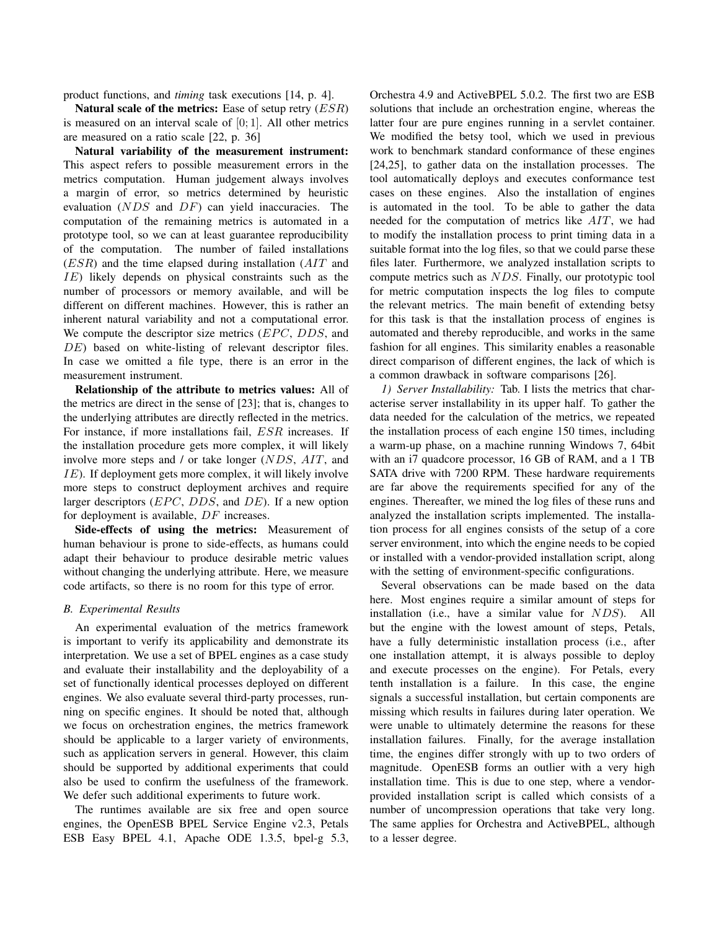product functions, and *timing* task executions [14, p. 4].

Natural scale of the metrics: Ease of setup retry  $(ESR)$ is measured on an interval scale of  $[0; 1]$ . All other metrics are measured on a ratio scale [22, p. 36]

Natural variability of the measurement instrument: This aspect refers to possible measurement errors in the metrics computation. Human judgement always involves a margin of error, so metrics determined by heuristic evaluation (NDS and DF) can yield inaccuracies. The computation of the remaining metrics is automated in a prototype tool, so we can at least guarantee reproducibility of the computation. The number of failed installations  $(ESR)$  and the time elapsed during installation  $(AIT \text{ and } I)$ IE) likely depends on physical constraints such as the number of processors or memory available, and will be different on different machines. However, this is rather an inherent natural variability and not a computational error. We compute the descriptor size metrics  $(EPC, DDS, and)$ DE) based on white-listing of relevant descriptor files. In case we omitted a file type, there is an error in the measurement instrument.

Relationship of the attribute to metrics values: All of the metrics are direct in the sense of [23]; that is, changes to the underlying attributes are directly reflected in the metrics. For instance, if more installations fail, ESR increases. If the installation procedure gets more complex, it will likely involve more steps and / or take longer (NDS, AIT, and  $IE$ ). If deployment gets more complex, it will likely involve more steps to construct deployment archives and require larger descriptors  $(EPC, DDS, and DE)$ . If a new option for deployment is available, DF increases.

Side-effects of using the metrics: Measurement of human behaviour is prone to side-effects, as humans could adapt their behaviour to produce desirable metric values without changing the underlying attribute. Here, we measure code artifacts, so there is no room for this type of error.

### *B. Experimental Results*

An experimental evaluation of the metrics framework is important to verify its applicability and demonstrate its interpretation. We use a set of BPEL engines as a case study and evaluate their installability and the deployability of a set of functionally identical processes deployed on different engines. We also evaluate several third-party processes, running on specific engines. It should be noted that, although we focus on orchestration engines, the metrics framework should be applicable to a larger variety of environments, such as application servers in general. However, this claim should be supported by additional experiments that could also be used to confirm the usefulness of the framework. We defer such additional experiments to future work.

The runtimes available are six free and open source engines, the OpenESB BPEL Service Engine v2.3, Petals ESB Easy BPEL 4.1, Apache ODE 1.3.5, bpel-g 5.3, Orchestra 4.9 and ActiveBPEL 5.0.2. The first two are ESB solutions that include an orchestration engine, whereas the latter four are pure engines running in a servlet container. We modified the betsy tool, which we used in previous work to benchmark standard conformance of these engines [24,25], to gather data on the installation processes. The tool automatically deploys and executes conformance test cases on these engines. Also the installation of engines is automated in the tool. To be able to gather the data needed for the computation of metrics like AIT, we had to modify the installation process to print timing data in a suitable format into the log files, so that we could parse these files later. Furthermore, we analyzed installation scripts to compute metrics such as NDS. Finally, our prototypic tool for metric computation inspects the log files to compute the relevant metrics. The main benefit of extending betsy for this task is that the installation process of engines is automated and thereby reproducible, and works in the same fashion for all engines. This similarity enables a reasonable direct comparison of different engines, the lack of which is a common drawback in software comparisons [26].

*1) Server Installability:* Tab. I lists the metrics that characterise server installability in its upper half. To gather the data needed for the calculation of the metrics, we repeated the installation process of each engine 150 times, including a warm-up phase, on a machine running Windows 7, 64bit with an i7 quadcore processor, 16 GB of RAM, and a 1 TB SATA drive with 7200 RPM. These hardware requirements are far above the requirements specified for any of the engines. Thereafter, we mined the log files of these runs and analyzed the installation scripts implemented. The installation process for all engines consists of the setup of a core server environment, into which the engine needs to be copied or installed with a vendor-provided installation script, along with the setting of environment-specific configurations.

Several observations can be made based on the data here. Most engines require a similar amount of steps for installation (i.e., have a similar value for NDS). All but the engine with the lowest amount of steps, Petals, have a fully deterministic installation process (i.e., after one installation attempt, it is always possible to deploy and execute processes on the engine). For Petals, every tenth installation is a failure. In this case, the engine signals a successful installation, but certain components are missing which results in failures during later operation. We were unable to ultimately determine the reasons for these installation failures. Finally, for the average installation time, the engines differ strongly with up to two orders of magnitude. OpenESB forms an outlier with a very high installation time. This is due to one step, where a vendorprovided installation script is called which consists of a number of uncompression operations that take very long. The same applies for Orchestra and ActiveBPEL, although to a lesser degree.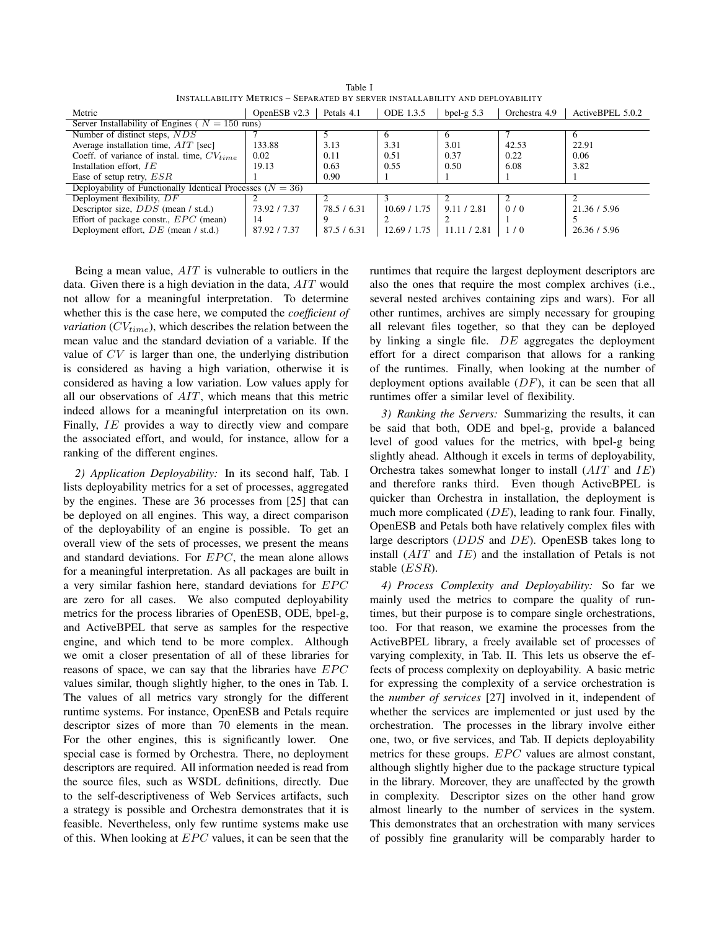| Metric                                                         | OpenESB $v2.3$ | Petals 4.1  | ODE 1.3.5    | bpel-g $5.3$ | Orchestra 4.9 | ActiveBPEL 5.0.2 |  |
|----------------------------------------------------------------|----------------|-------------|--------------|--------------|---------------|------------------|--|
| Server Installability of Engines ( $N = 150$ runs)             |                |             |              |              |               |                  |  |
| Number of distinct steps, NDS                                  |                |             |              |              |               |                  |  |
| Average installation time, $AIT$ [sec]                         | 133.88         | 3.13        | 3.31         | 3.01         | 42.53         | 22.91            |  |
| Coeff. of variance of instal. time, $CV_{time}$                | 0.02           | 0.11        | 0.51         | 0.37         | 0.22          | 0.06             |  |
| Installation effort, IE                                        | 19.13          | 0.63        | 0.55         | 0.50         | 6.08          | 3.82             |  |
| Ease of setup retry, $ESR$                                     |                | 0.90        |              |              |               |                  |  |
| Deployability of Functionally Identical Processes ( $N = 36$ ) |                |             |              |              |               |                  |  |
| Deployment flexibility, $DF$                                   |                |             |              |              |               |                  |  |
| Descriptor size, $DDS$ (mean / st.d.)                          | 73.92 / 7.37   | 78.5 / 6.31 | 10.69 / 1.75 | 9.11 / 2.81  | 0/0           | 21.36 / 5.96     |  |
| Effort of package constr., $EPC$ (mean)                        | 14             | 9           |              |              |               |                  |  |
| Deployment effort, $DE$ (mean / st.d.)                         | 87.92 / 7.37   | 87.5/6.31   | 12.69 / 1.75 | 11.11 / 2.81 | 1/0           | 26.36 / 5.96     |  |

Table I INSTALLABILITY METRICS – SEPARATED BY SERVER INSTALLABILITY AND DEPLOYABILITY

Being a mean value,  $AIT$  is vulnerable to outliers in the data. Given there is a high deviation in the data, AIT would not allow for a meaningful interpretation. To determine whether this is the case here, we computed the *coefficient of variation* ( $CV_{time}$ ), which describes the relation between the mean value and the standard deviation of a variable. If the value of CV is larger than one, the underlying distribution is considered as having a high variation, otherwise it is considered as having a low variation. Low values apply for all our observations of AIT, which means that this metric indeed allows for a meaningful interpretation on its own. Finally, IE provides a way to directly view and compare the associated effort, and would, for instance, allow for a ranking of the different engines.

*2) Application Deployability:* In its second half, Tab. I lists deployability metrics for a set of processes, aggregated by the engines. These are 36 processes from [25] that can be deployed on all engines. This way, a direct comparison of the deployability of an engine is possible. To get an overall view of the sets of processes, we present the means and standard deviations. For  $EPC$ , the mean alone allows for a meaningful interpretation. As all packages are built in a very similar fashion here, standard deviations for  $EPC$ are zero for all cases. We also computed deployability metrics for the process libraries of OpenESB, ODE, bpel-g, and ActiveBPEL that serve as samples for the respective engine, and which tend to be more complex. Although we omit a closer presentation of all of these libraries for reasons of space, we can say that the libraries have  $EPC$ values similar, though slightly higher, to the ones in Tab. I. The values of all metrics vary strongly for the different runtime systems. For instance, OpenESB and Petals require descriptor sizes of more than 70 elements in the mean. For the other engines, this is significantly lower. One special case is formed by Orchestra. There, no deployment descriptors are required. All information needed is read from the source files, such as WSDL definitions, directly. Due to the self-descriptiveness of Web Services artifacts, such a strategy is possible and Orchestra demonstrates that it is feasible. Nevertheless, only few runtime systems make use of this. When looking at  $EPC$  values, it can be seen that the runtimes that require the largest deployment descriptors are also the ones that require the most complex archives (i.e., several nested archives containing zips and wars). For all other runtimes, archives are simply necessary for grouping all relevant files together, so that they can be deployed by linking a single file. DE aggregates the deployment effort for a direct comparison that allows for a ranking of the runtimes. Finally, when looking at the number of deployment options available  $(DF)$ , it can be seen that all runtimes offer a similar level of flexibility.

*3) Ranking the Servers:* Summarizing the results, it can be said that both, ODE and bpel-g, provide a balanced level of good values for the metrics, with bpel-g being slightly ahead. Although it excels in terms of deployability, Orchestra takes somewhat longer to install (AIT and IE) and therefore ranks third. Even though ActiveBPEL is quicker than Orchestra in installation, the deployment is much more complicated  $(DE)$ , leading to rank four. Finally, OpenESB and Petals both have relatively complex files with large descriptors (DDS and DE). OpenESB takes long to install (AIT and IE) and the installation of Petals is not stable (ESR).

*4) Process Complexity and Deployability:* So far we mainly used the metrics to compare the quality of runtimes, but their purpose is to compare single orchestrations, too. For that reason, we examine the processes from the ActiveBPEL library, a freely available set of processes of varying complexity, in Tab. II. This lets us observe the effects of process complexity on deployability. A basic metric for expressing the complexity of a service orchestration is the *number of services* [27] involved in it, independent of whether the services are implemented or just used by the orchestration. The processes in the library involve either one, two, or five services, and Tab. II depicts deployability metrics for these groups.  $EPC$  values are almost constant, although slightly higher due to the package structure typical in the library. Moreover, they are unaffected by the growth in complexity. Descriptor sizes on the other hand grow almost linearly to the number of services in the system. This demonstrates that an orchestration with many services of possibly fine granularity will be comparably harder to